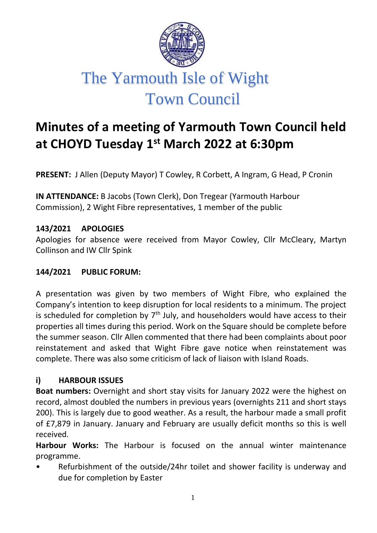

# **Minutes of a meeting of Yarmouth Town Council held at CHOYD Tuesday 1st March 2022 at 6:30pm**

**PRESENT:** J Allen (Deputy Mayor) T Cowley, R Corbett, A Ingram, G Head, P Cronin

**IN ATTENDANCE:** B Jacobs (Town Clerk), Don Tregear (Yarmouth Harbour Commission), 2 Wight Fibre representatives, 1 member of the public

#### **143/2021 APOLOGIES**

Apologies for absence were received from Mayor Cowley, Cllr McCleary, Martyn Collinson and IW Cllr Spink

#### **144/2021 PUBLIC FORUM:**

A presentation was given by two members of Wight Fibre, who explained the Company's intention to keep disruption for local residents to a minimum. The project is scheduled for completion by  $7<sup>th</sup>$  July, and householders would have access to their properties all times during this period. Work on the Square should be complete before the summer season. Cllr Allen commented that there had been complaints about poor reinstatement and asked that Wight Fibre gave notice when reinstatement was complete. There was also some criticism of lack of liaison with Island Roads.

#### **i) HARBOUR ISSUES**

**Boat numbers:** Overnight and short stay visits for January 2022 were the highest on record, almost doubled the numbers in previous years (overnights 211 and short stays 200). This is largely due to good weather. As a result, the harbour made a small profit of £7,879 in January. January and February are usually deficit months so this is well received.

**Harbour Works:** The Harbour is focused on the annual winter maintenance programme.

• Refurbishment of the outside/24hr toilet and shower facility is underway and due for completion by Easter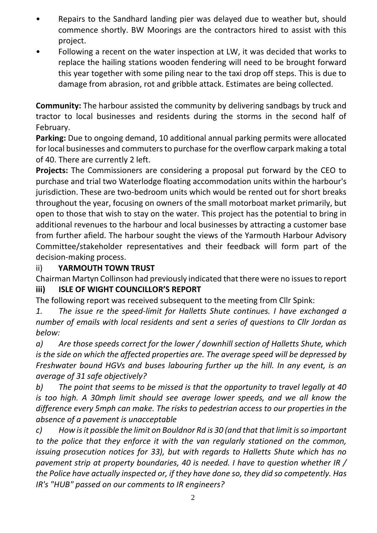- Repairs to the Sandhard landing pier was delayed due to weather but, should commence shortly. BW Moorings are the contractors hired to assist with this project.
- Following a recent on the water inspection at LW, it was decided that works to replace the hailing stations wooden fendering will need to be brought forward this year together with some piling near to the taxi drop off steps. This is due to damage from abrasion, rot and gribble attack. Estimates are being collected.

**Community:** The harbour assisted the community by delivering sandbags by truck and tractor to local businesses and residents during the storms in the second half of February.

**Parking:** Due to ongoing demand, 10 additional annual parking permits were allocated for local businesses and commuters to purchase for the overflow carpark making a total of 40. There are currently 2 left.

**Projects:** The Commissioners are considering a proposal put forward by the CEO to purchase and trial two Waterlodge floating accommodation units within the harbour's jurisdiction. These are two-bedroom units which would be rented out for short breaks throughout the year, focusing on owners of the small motorboat market primarily, but open to those that wish to stay on the water. This project has the potential to bring in additional revenues to the harbour and local businesses by attracting a customer base from further afield. The harbour sought the views of the Yarmouth Harbour Advisory Committee/stakeholder representatives and their feedback will form part of the decision-making process.

#### ii) **YARMOUTH TOWN TRUST**

Chairman Martyn Collinson had previously indicated that there were no issues to report **iii) ISLE OF WIGHT COUNCILLOR'S REPORT**

The following report was received subsequent to the meeting from Cllr Spink:

*1. The issue re the speed-limit for Halletts Shute continues. I have exchanged a number of emails with local residents and sent a series of questions to Cllr Jordan as below:*

*a) Are those speeds correct for the lower / downhill section of Halletts Shute, which is the side on which the affected properties are. The average speed will be depressed by Freshwater bound HGVs and buses labouring further up the hill. In any event, is an average of 31 safe objectively?*

*b) The point that seems to be missed is that the opportunity to travel legally at 40 is too high. A 30mph limit should see average lower speeds, and we all know the difference every 5mph can make. The risks to pedestrian access to our properties in the absence of a pavement is unacceptable*

*c) How is it possible the limit on Bouldnor Rd is 30 (and that that limit is so important to the police that they enforce it with the van regularly stationed on the common, issuing prosecution notices for 33), but with regards to Halletts Shute which has no pavement strip at property boundaries, 40 is needed. I have to question whether IR / the Police have actually inspected or, if they have done so, they did so competently. Has IR's "HUB" passed on our comments to IR engineers?*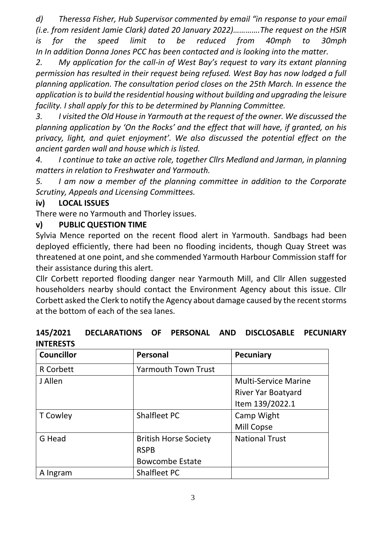*d) Theressa Fisher, Hub Supervisor commented by email "in response to your email (i.e. from resident Jamie Clark) dated 20 January 2022)………….The request on the HSIR is for the speed limit to be reduced from 40mph to 30mph In In addition Donna Jones PCC has been contacted and is looking into the matter.*

*2. My application for the call-in of West Bay's request to vary its extant planning permission has resulted in their request being refused. West Bay has now lodged a full planning application. The consultation period closes on the 25th March. In essence the application is to build the residential housing without building and upgrading the leisure facility. I shall apply for this to be determined by Planning Committee.*

*3. I visited the Old House in Yarmouth at the request of the owner. We discussed the planning application by 'On the Rocks' and the effect that will have, if granted, on his privacy, light, and quiet enjoyment'. We also discussed the potential effect on the ancient garden wall and house which is listed.* 

*4. I continue to take an active role, together Cllrs Medland and Jarman, in planning matters in relation to Freshwater and Yarmouth.*

*5. I am now a member of the planning committee in addition to the Corporate Scrutiny, Appeals and Licensing Committees.*

#### **iv) LOCAL ISSUES**

There were no Yarmouth and Thorley issues.

#### **v) PUBLIC QUESTION TIME**

Sylvia Mence reported on the recent flood alert in Yarmouth. Sandbags had been deployed efficiently, there had been no flooding incidents, though Quay Street was threatened at one point, and she commended Yarmouth Harbour Commission staff for their assistance during this alert.

Cllr Corbett reported flooding danger near Yarmouth Mill, and Cllr Allen suggested householders nearby should contact the Environment Agency about this issue. Cllr Corbett asked the Clerk to notify the Agency about damage caused by the recent storms at the bottom of each of the sea lanes.

#### **145/2021 DECLARATIONS OF PERSONAL AND DISCLOSABLE PECUNIARY INTERESTS**

| <b>Councillor</b> | Personal                     | <b>Pecuniary</b>            |
|-------------------|------------------------------|-----------------------------|
| <b>R</b> Corbett  | <b>Yarmouth Town Trust</b>   |                             |
| J Allen           |                              | <b>Multi-Service Marine</b> |
|                   |                              | River Yar Boatyard          |
|                   |                              | Item 139/2022.1             |
| <b>T</b> Cowley   | Shalfleet PC                 | Camp Wight                  |
|                   |                              | Mill Copse                  |
| G Head            | <b>British Horse Society</b> | <b>National Trust</b>       |
|                   | <b>RSPB</b>                  |                             |
|                   | <b>Bowcombe Estate</b>       |                             |
| A Ingram          | Shalfleet PC                 |                             |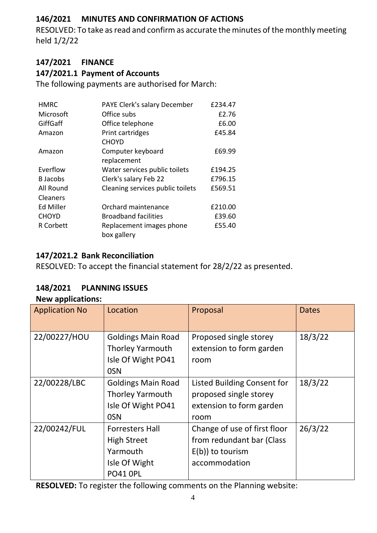#### **146/2021 MINUTES AND CONFIRMATION OF ACTIONS**

RESOLVED: To take as read and confirm as accurate the minutes of the monthly meeting held 1/2/22

#### **147/2021 FINANCE**

#### **147/2021.1 Payment of Accounts**

The following payments are authorised for March:

| <b>HMRC</b>      | PAYE Clerk's salary December     | £234.47 |
|------------------|----------------------------------|---------|
| Microsoft        | Office subs                      | £2.76   |
| GiffGaff         | Office telephone                 | £6.00   |
| Amazon           | Print cartridges                 | £45.84  |
|                  | <b>CHOYD</b>                     |         |
| Amazon           | Computer keyboard                | £69.99  |
|                  | replacement                      |         |
| Everflow         | Water services public toilets    | £194.25 |
| <b>B</b> Jacobs  | Clerk's salary Feb 22            | £796.15 |
| All Round        | Cleaning services public toilets | £569.51 |
| Cleaners         |                                  |         |
| Ed Miller        | Orchard maintenance              | £210.00 |
| <b>CHOYD</b>     | <b>Broadband facilities</b>      | £39.60  |
| <b>R</b> Corbett | Replacement images phone         | £55.40  |
|                  | box gallery                      |         |

#### **147/2021.2 Bank Reconciliation**

RESOLVED: To accept the financial statement for 28/2/22 as presented.

#### **148/2021 PLANNING ISSUES**

| <b>New applications:</b> |                           |                                    |              |
|--------------------------|---------------------------|------------------------------------|--------------|
| <b>Application No</b>    | Location                  | Proposal                           | <b>Dates</b> |
|                          |                           |                                    |              |
| 22/00227/HOU             | <b>Goldings Main Road</b> | Proposed single storey             | 18/3/22      |
|                          | <b>Thorley Yarmouth</b>   | extension to form garden           |              |
|                          | Isle Of Wight PO41        | room                               |              |
|                          | 0SN                       |                                    |              |
| 22/00228/LBC             | <b>Goldings Main Road</b> | <b>Listed Building Consent for</b> | 18/3/22      |
|                          | <b>Thorley Yarmouth</b>   | proposed single storey             |              |
|                          | Isle Of Wight PO41        | extension to form garden           |              |
|                          | 0SN                       | room                               |              |
| 22/00242/FUL             | <b>Forresters Hall</b>    | Change of use of first floor       | 26/3/22      |
|                          | <b>High Street</b>        | from redundant bar (Class          |              |
|                          | Yarmouth                  | $E(b)$ ) to tourism                |              |
|                          | Isle Of Wight             | accommodation                      |              |
|                          | <b>PO41 OPL</b>           |                                    |              |

**RESOLVED:** To register the following comments on the Planning website: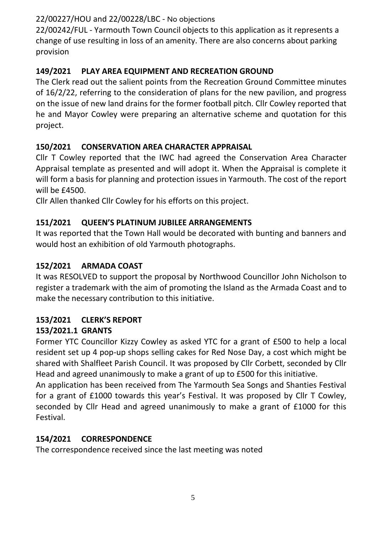### 22/00227/HOU and 22/00228/LBC - No objections

22/00242/FUL - Yarmouth Town Council objects to this application as it represents a change of use resulting in loss of an amenity. There are also concerns about parking provision

## **149/2021 PLAY AREA EQUIPMENT AND RECREATION GROUND**

The Clerk read out the salient points from the Recreation Ground Committee minutes of 16/2/22, referring to the consideration of plans for the new pavilion, and progress on the issue of new land drains for the former football pitch. Cllr Cowley reported that he and Mayor Cowley were preparing an alternative scheme and quotation for this project.

## **150/2021 CONSERVATION AREA CHARACTER APPRAISAL**

Cllr T Cowley reported that the IWC had agreed the Conservation Area Character Appraisal template as presented and will adopt it. When the Appraisal is complete it will form a basis for planning and protection issues in Yarmouth. The cost of the report will be £4500.

Cllr Allen thanked Cllr Cowley for his efforts on this project.

## **151/2021 QUEEN'S PLATINUM JUBILEE ARRANGEMENTS**

It was reported that the Town Hall would be decorated with bunting and banners and would host an exhibition of old Yarmouth photographs.

## **152/2021 ARMADA COAST**

It was RESOLVED to support the proposal by Northwood Councillor John Nicholson to register a trademark with the aim of promoting the Island as the Armada Coast and to make the necessary contribution to this initiative.

## **153/2021 CLERK'S REPORT**

### **153/2021.1 GRANTS**

Former YTC Councillor Kizzy Cowley as asked YTC for a grant of £500 to help a local resident set up 4 pop-up shops selling cakes for Red Nose Day, a cost which might be shared with Shalfleet Parish Council. It was proposed by Cllr Corbett, seconded by Cllr Head and agreed unanimously to make a grant of up to £500 for this initiative.

An application has been received from The Yarmouth Sea Songs and Shanties Festival for a grant of £1000 towards this year's Festival. It was proposed by Cllr T Cowley, seconded by Cllr Head and agreed unanimously to make a grant of £1000 for this Festival.

## **154/2021 CORRESPONDENCE**

The correspondence received since the last meeting was noted